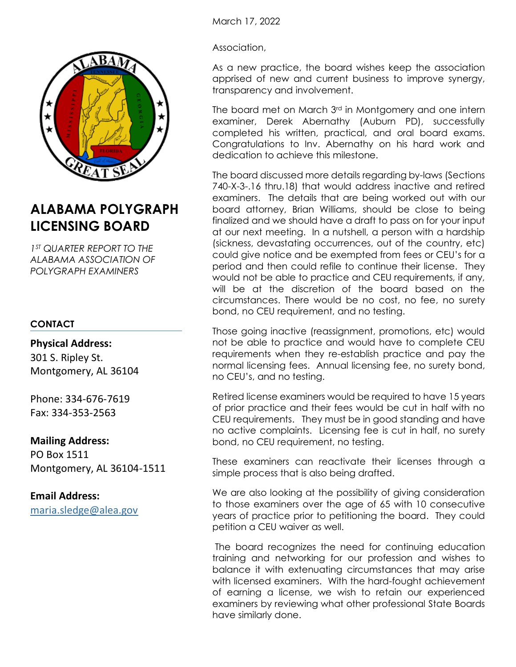

# **ALABAMA POLYGRAPH LICENSING BOARD**

*1 ST QUARTER REPORT TO THE ALABAMA ASSOCIATION OF POLYGRAPH EXAMINERS*

# **CONTACT**

### **Physical Address:**

301 S. Ripley St. Montgomery, AL 36104

Phone: 334-676-7619 Fax: 334-353-2563

# **Mailing Address:**

PO Box 1511 Montgomery, AL 36104-1511

# **Email Address:**

[maria.sledge@alea.gov](mailto:maria.sledge@alea.gov)

March 17, 2022

Association,

As a new practice, the board wishes keep the association apprised of new and current business to improve synergy, transparency and involvement.

The board met on March 3<sup>rd</sup> in Montgomery and one intern examiner, Derek Abernathy (Auburn PD), successfully completed his written, practical, and oral board exams. Congratulations to Inv. Abernathy on his hard work and dedication to achieve this milestone.

The board discussed more details regarding by-laws (Sections 740-X-3-.16 thru.18) that would address inactive and retired examiners. The details that are being worked out with our board attorney, Brian Williams, should be close to being finalized and we should have a draft to pass on for your input at our next meeting. In a nutshell, a person with a hardship (sickness, devastating occurrences, out of the country, etc) could give notice and be exempted from fees or CEU's for a period and then could refile to continue their license. They would not be able to practice and CEU requirements, if any, will be at the discretion of the board based on the circumstances. There would be no cost, no fee, no surety bond, no CEU requirement, and no testing.

Those going inactive (reassignment, promotions, etc) would not be able to practice and would have to complete CEU requirements when they re-establish practice and pay the normal licensing fees. Annual licensing fee, no surety bond, no CEU's, and no testing.

Retired license examiners would be required to have 15 years of prior practice and their fees would be cut in half with no CEU requirements. They must be in good standing and have no active complaints. Licensing fee is cut in half, no surety bond, no CEU requirement, no testing.

These examiners can reactivate their licenses through a simple process that is also being drafted.

We are also looking at the possibility of giving consideration to those examiners over the age of 65 with 10 consecutive years of practice prior to petitioning the board. They could petition a CEU waiver as well.

The board recognizes the need for continuing education training and networking for our profession and wishes to balance it with extenuating circumstances that may arise with licensed examiners. With the hard-fought achievement of earning a license, we wish to retain our experienced examiners by reviewing what other professional State Boards have similarly done.